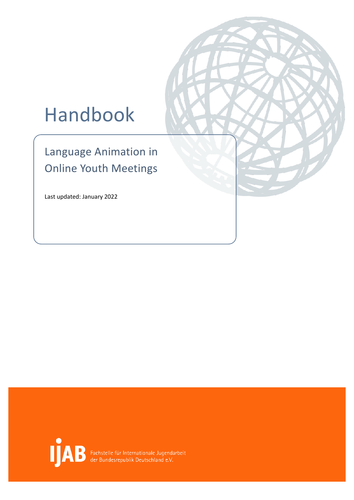# Handbook

Language Animation in Online Youth Meetings

Last updated: January 2022



Fachstelle für Internationale Jugendarbeit<br>der Bundesrepublik Deutschland e.V.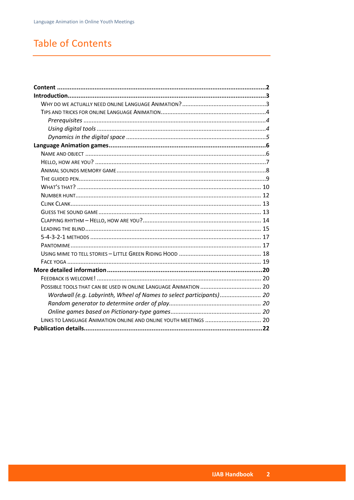# <span id="page-1-0"></span>**Table of Contents**

| Wordwall (e.g. Labyrinth, Wheel of Names to select participants) 20 |  |
|---------------------------------------------------------------------|--|
|                                                                     |  |
|                                                                     |  |
| LINKS TO LANGUAGE ANIMATION ONLINE AND ONLINE YOUTH MEETINGS  20    |  |
|                                                                     |  |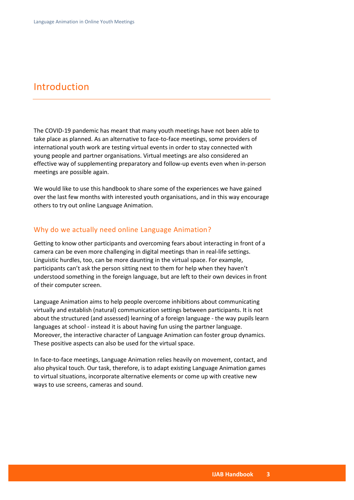# <span id="page-2-0"></span>Introduction

The COVID-19 pandemic has meant that many youth meetings have not been able to take place as planned. As an alternative to face-to-face meetings, some providers of international youth work are testing virtual events in order to stay connected with young people and partner organisations. Virtual meetings are also considered an effective way of supplementing preparatory and follow-up events even when in-person meetings are possible again.

We would like to use this handbook to share some of the experiences we have gained over the last few months with interested youth organisations, and in this way encourage others to try out online Language Animation.

#### <span id="page-2-1"></span>Why do we actually need online Language Animation?

Getting to know other participants and overcoming fears about interacting in front of a camera can be even more challenging in digital meetings than in real-life settings. Linguistic hurdles, too, can be more daunting in the virtual space. For example, participants can't ask the person sitting next to them for help when they haven't understood something in the foreign language, but are left to their own devices in front of their computer screen.

Language Animation aims to help people overcome inhibitions about communicating virtually and establish (natural) communication settings between participants. It is not about the structured (and assessed) learning of a foreign language - the way pupils learn languages at school - instead it is about having fun using the partner language. Moreover, the interactive character of Language Animation can foster group dynamics. These positive aspects can also be used for the virtual space.

In face-to-face meetings, Language Animation relies heavily on movement, contact, and also physical touch. Our task, therefore, is to adapt existing Language Animation games to virtual situations, incorporate alternative elements or come up with creative new ways to use screens, cameras and sound.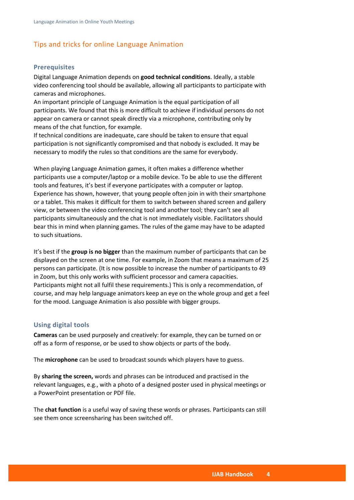# <span id="page-3-0"></span>Tips and tricks for online Language Animation

#### <span id="page-3-1"></span>**Prerequisites**

Digital Language Animation depends on **good technical conditions**. Ideally, a stable video conferencing tool should be available, allowing all participants to participate with cameras and microphones.

An important principle of Language Animation is the equal participation of all participants. We found that this is more difficult to achieve if individual persons do not appear on camera or cannot speak directly via a microphone, contributing only by means of the chat function, for example.

If technical conditions are inadequate, care should be taken to ensure that equal participation is not significantly compromised and that nobody is excluded. It may be necessary to modify the rules so that conditions are the same for everybody.

When playing Language Animation games, it often makes a difference whether participants use a computer/laptop or a mobile device. To be able to use the different tools and features, it's best if everyone participates with a computer or laptop. Experience has shown, however, that young people often join in with their smartphone or a tablet. This makes it difficult for them to switch between shared screen and gallery view, or between the video conferencing tool and another tool; they can't see all participants simultaneously and the chat is not immediately visible. Facilitators should bear this in mind when planning games. The rules of the game may have to be adapted to such situations.

It's best if the **group is no bigger** than the maximum number of participants that can be displayed on the screen at one time. For example, in Zoom that means a maximum of 25 persons can participate. (It is now possible to increase the number of participants to 49 in Zoom, but this only works with sufficient processor and camera capacities. Participants might not all fulfil these requirements.) This is only a recommendation, of course, and may help language animators keep an eye on the whole group and get a feel for the mood. Language Animation is also possible with bigger groups.

#### <span id="page-3-2"></span>**Using digital tools**

**Cameras** can be used purposely and creatively: for example, they can be turned on or off as a form of response, or be used to show objects or parts of the body.

The **microphone** can be used to broadcast sounds which players have to guess.

By **sharing the screen,** words and phrases can be introduced and practised in the relevant languages, e.g., with a photo of a designed poster used in physical meetings or a PowerPoint presentation or PDF file.

The **chat function** is a useful way of saving these words or phrases. Participants can still see them once screensharing has been switched off.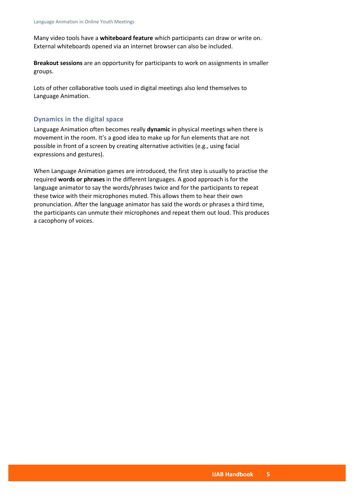Many video tools have a **whiteboard feature** which participants can draw or write on. External whiteboards opened via an internet browser can also be included.

**Breakout sessions** are an opportunity for participants to work on assignments in smaller groups.

Lots of other collaborative tools used in digital meetings also lend themselves to Language Animation.

# <span id="page-4-0"></span>**Dynamics in the digital space**

Language Animation often becomes really **dynamic** in physical meetings when there is movement in the room. It's a good idea to make up for fun elements that are not possible in front of a screen by creating alternative activities (e.g., using facial expressions and gestures).

When Language Animation games are introduced, the first step is usually to practise the required **words or phrases** in the different languages. A good approach is for the language animator to say the words/phrases twice and for the participants to repeat these twice with their microphones muted. This allows them to hear their own pronunciation. After the language animator has said the words or phrases a third time, the participants can unmute their microphones and repeat them out loud. This produces a cacophony of voices.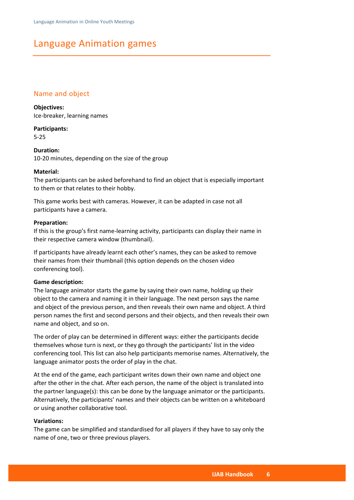# <span id="page-5-0"></span>Language Animation games

# <span id="page-5-1"></span>Name and object

#### **Objectives:**

Ice-breaker, learning names

**Participants:** 5-25

**Duration:** 10-20 minutes, depending on the size of the group

#### **Material:**

The participants can be asked beforehand to find an object that is especially important to them or that relates to their hobby.

This game works best with cameras. However, it can be adapted in case not all participants have a camera.

#### **Preparation:**

If this is the group's first name-learning activity, participants can display their name in their respective camera window (thumbnail).

If participants have already learnt each other's names, they can be asked to remove their names from their thumbnail (this option depends on the chosen video conferencing tool).

#### **Game description:**

The language animator starts the game by saying their own name, holding up their object to the camera and naming it in their language. The next person says the name and object of the previous person, and then reveals their own name and object. A third person names the first and second persons and their objects, and then reveals their own name and object, and so on.

The order of play can be determined in different ways: either the participants decide themselves whose turn is next, or they go through the participants' list in the video conferencing tool. This list can also help participants memorise names. Alternatively, the language animator posts the order of play in the chat.

At the end of the game, each participant writes down their own name and object one after the other in the chat. After each person, the name of the object is translated into the partner language(s): this can be done by the language animator or the participants. Alternatively, the participants' names and their objects can be written on a whiteboard or using another collaborative tool.

#### **Variations:**

The game can be simplified and standardised for all players if they have to say only the name of one, two or three previous players.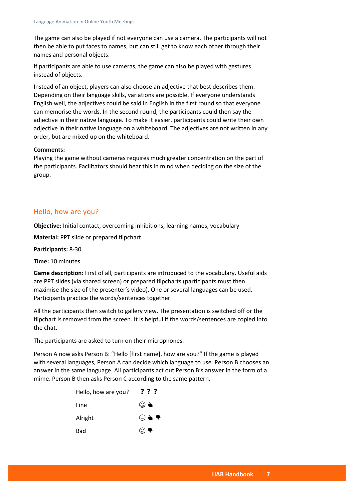The game can also be played if not everyone can use a camera. The participants will not then be able to put faces to names, but can still get to know each other through their names and personal objects.

If participants are able to use cameras, the game can also be played with gestures instead of objects.

Instead of an object, players can also choose an adjective that best describes them. Depending on their language skills, variations are possible. If everyone understands English well, the adjectives could be said in English in the first round so that everyone can memorise the words. In the second round, the participants could then say the adjective in their native language. To make it easier, participants could write their own adjective in their native language on a whiteboard. The adjectives are not written in any order, but are mixed up on the whiteboard.

#### **Comments:**

Playing the game without cameras requires much greater concentration on the part of the participants. Facilitators should bear this in mind when deciding on the size of the group.

# <span id="page-6-0"></span>Hello, how are you?

**Objective:** Initial contact, overcoming inhibitions, learning names, vocabulary

**Material:** PPT slide or prepared flipchart

**Participants:** 8-30

**Time:** 10 minutes

**Game description:** First of all, participants are introduced to the vocabulary. Useful aids are PPT slides (via shared screen) or prepared flipcharts (participants must then maximise the size of the presenter's video). One or several languages can be used. Participants practice the words/sentences together.

All the participants then switch to gallery view. The presentation is switched off or the flipchart is removed from the screen. It is helpful if the words/sentences are copied into the chat.

The participants are asked to turn on their microphones.

Person A now asks Person B: "Hello [first name], how are you?" If the game is played with several languages, Person A can decide which language to use. Person B chooses an answer in the same language. All participants act out Person B's answer in the form of a mime. Person B then asks Person C according to the same pattern.

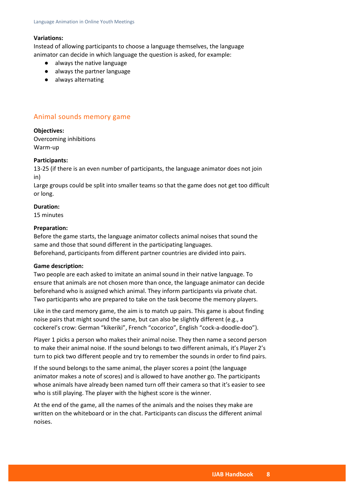#### **Variations:**

Instead of allowing participants to choose a language themselves, the language animator can decide in which language the question is asked, for example:

- always the native language
- always the partner language
- always alternating

# <span id="page-7-0"></span>Animal sounds memory game

**Objectives:**

Overcoming inhibitions Warm-up

#### **Participants:**

13-25 (if there is an even number of participants, the language animator does not join in)

Large groups could be split into smaller teams so that the game does not get too difficult or long.

# **Duration:**

15 minutes

#### **Preparation:**

Before the game starts, the language animator collects animal noises that sound the same and those that sound different in the participating languages. Beforehand, participants from different partner countries are divided into pairs.

#### **Game description:**

Two people are each asked to imitate an animal sound in their native language. To ensure that animals are not chosen more than once, the language animator can decide beforehand who is assigned which animal. They inform participants via private chat. Two participants who are prepared to take on the task become the memory players.

Like in the card memory game, the aim is to match up pairs. This game is about finding noise pairs that might sound the same, but can also be slightly different (e.g., a cockerel's crow: German "kikeriki", French "cocorico", English "cock-a-doodle-doo").

Player 1 picks a person who makes their animal noise. They then name a second person to make their animal noise. If the sound belongs to two different animals, it's Player 2's turn to pick two different people and try to remember the sounds in order to find pairs.

If the sound belongs to the same animal, the player scores a point (the language animator makes a note of scores) and is allowed to have another go. The participants whose animals have already been named turn off their camera so that it's easier to see who is still playing. The player with the highest score is the winner.

At the end of the game, all the names of the animals and the noises they make are written on the whiteboard or in the chat. Participants can discuss the different animal noises.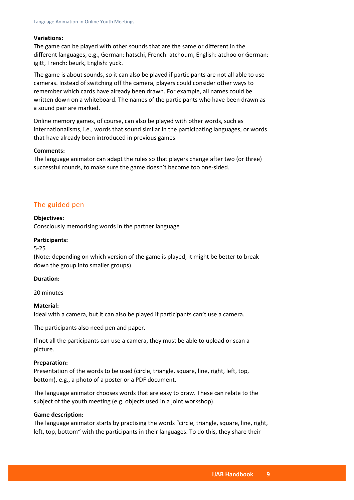#### **Variations:**

The game can be played with other sounds that are the same or different in the different languages, e.g., German: hatschi, French: atchoum, English: atchoo or German: igitt, French: beurk, English: yuck.

The game is about sounds, so it can also be played if participants are not all able to use cameras. Instead of switching off the camera, players could consider other ways to remember which cards have already been drawn. For example, all names could be written down on a whiteboard. The names of the participants who have been drawn as a sound pair are marked.

Online memory games, of course, can also be played with other words, such as internationalisms, i.e., words that sound similar in the participating languages, or words that have already been introduced in previous games.

#### **Comments:**

The language animator can adapt the rules so that players change after two (or three) successful rounds, to make sure the game doesn't become too one-sided.

#### <span id="page-8-0"></span>The guided pen

#### **Objectives:**

Consciously memorising words in the partner language

#### **Participants:**

#### 5-25

(Note: depending on which version of the game is played, it might be better to break down the group into smaller groups)

#### **Duration:**

20 minutes

#### **Material:**

Ideal with a camera, but it can also be played if participants can't use a camera.

The participants also need pen and paper.

If not all the participants can use a camera, they must be able to upload or scan a picture.

#### **Preparation:**

Presentation of the words to be used (circle, triangle, square, line, right, left, top, bottom), e.g., a photo of a poster or a PDF document.

The language animator chooses words that are easy to draw. These can relate to the subject of the youth meeting (e.g. objects used in a joint workshop).

#### **Game description:**

The language animator starts by practising the words "circle, triangle, square, line, right, left, top, bottom" with the participants in their languages. To do this, they share their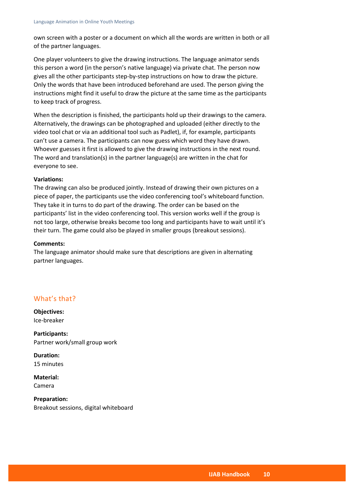own screen with a poster or a document on which all the words are written in both or all of the partner languages.

One player volunteers to give the drawing instructions. The language animator sends this person a word (in the person's native language) via private chat. The person now gives all the other participants step-by-step instructions on how to draw the picture. Only the words that have been introduced beforehand are used. The person giving the instructions might find it useful to draw the picture at the same time as the participants to keep track of progress.

When the description is finished, the participants hold up their drawings to the camera. Alternatively, the drawings can be photographed and uploaded (either directly to the video tool chat or via an additional tool such as Padlet), if, for example, participants can't use a camera. The participants can now guess which word they have drawn. Whoever guesses it first is allowed to give the drawing instructions in the next round. The word and translation(s) in the partner language(s) are written in the chat for everyone to see.

#### **Variations:**

The drawing can also be produced jointly. Instead of drawing their own pictures on a piece of paper, the participants use the video conferencing tool's whiteboard function. They take it in turns to do part of the drawing. The order can be based on the participants' list in the video conferencing tool. This version works well if the group is not too large, otherwise breaks become too long and participants have to wait until it's their turn. The game could also be played in smaller groups (breakout sessions).

#### **Comments:**

The language animator should make sure that descriptions are given in alternating partner languages.

# <span id="page-9-0"></span>What's that?

**Objectives:** Ice-breaker

**Participants:** Partner work/small group work

**Duration:** 15 minutes

**Material:** Camera

**Preparation:** Breakout sessions, digital whiteboard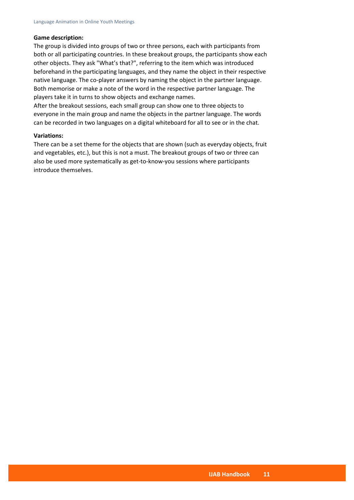#### **Game description:**

The group is divided into groups of two or three persons, each with participants from both or all participating countries. In these breakout groups, the participants show each other objects. They ask "What's that?", referring to the item which was introduced beforehand in the participating languages, and they name the object in their respective native language. The co-player answers by naming the object in the partner language. Both memorise or make a note of the word in the respective partner language. The players take it in turns to show objects and exchange names.

After the breakout sessions, each small group can show one to three objects to everyone in the main group and name the objects in the partner language. The words can be recorded in two languages on a digital whiteboard for all to see or in the chat.

#### **Variations:**

There can be a set theme for the objects that are shown (such as everyday objects, fruit and vegetables, etc.), but this is not a must. The breakout groups of two or three can also be used more systematically as get-to-know-you sessions where participants introduce themselves.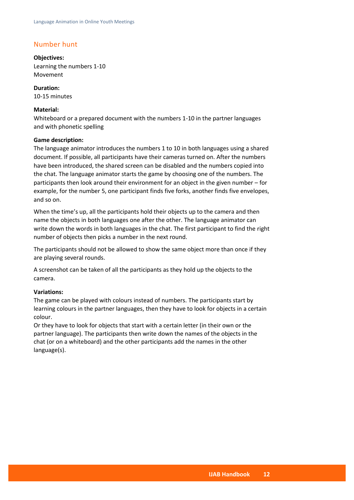# <span id="page-11-0"></span>Number hunt

**Objectives:** Learning the numbers 1-10 Movement

**Duration:** 10-15 minutes

#### **Material:**

Whiteboard or a prepared document with the numbers 1-10 in the partner languages and with phonetic spelling

#### **Game description:**

The language animator introduces the numbers 1 to 10 in both languages using a shared document. If possible, all participants have their cameras turned on. After the numbers have been introduced, the shared screen can be disabled and the numbers copied into the chat. The language animator starts the game by choosing one of the numbers. The participants then look around their environment for an object in the given number – for example, for the number 5, one participant finds five forks, another finds five envelopes, and so on.

When the time's up, all the participants hold their objects up to the camera and then name the objects in both languages one after the other. The language animator can write down the words in both languages in the chat. The first participant to find the right number of objects then picks a number in the next round.

The participants should not be allowed to show the same object more than once if they are playing several rounds.

A screenshot can be taken of all the participants as they hold up the objects to the camera.

#### **Variations:**

The game can be played with colours instead of numbers. The participants start by learning colours in the partner languages, then they have to look for objects in a certain colour.

Or they have to look for objects that start with a certain letter (in their own or the partner language). The participants then write down the names of the objects in the chat (or on a whiteboard) and the other participants add the names in the other language(s).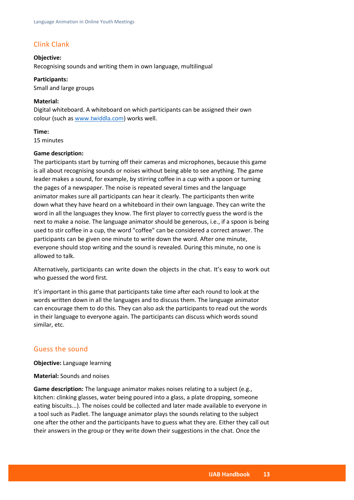# <span id="page-12-0"></span>Clink Clank

#### **Objective:**

Recognising sounds and writing them in own language, multilingual

#### **Participants:**

Small and large groups

#### **Material:**

Digital whiteboard. A whiteboard on which participants can be assigned their own colour (such as [www.twiddla.com\)](http://www.twiddla.com/) works well.

#### **Time:**

15 minutes

#### **Game description:**

The participants start by turning off their cameras and microphones, because this game is all about recognising sounds or noises without being able to see anything. The game leader makes a sound, for example, by stirring coffee in a cup with a spoon or turning the pages of a newspaper. The noise is repeated several times and the language animator makes sure all participants can hear it clearly. The participants then write down what they have heard on a whiteboard in their own language. They can write the word in all the languages they know. The first player to correctly guess the word is the next to make a noise. The language animator should be generous, i.e., if a spoon is being used to stir coffee in a cup, the word "coffee" can be considered a correct answer. The participants can be given one minute to write down the word. After one minute, everyone should stop writing and the sound is revealed. During this minute, no one is allowed to talk.

Alternatively, participants can write down the objects in the chat. It's easy to work out who guessed the word first.

It's important in this game that participants take time after each round to look at the words written down in all the languages and to discuss them. The language animator can encourage them to do this. They can also ask the participants to read out the words in their language to everyone again. The participants can discuss which words sound similar, etc.

# <span id="page-12-1"></span>Guess the sound

**Objective:** Language learning

#### **Material:** Sounds and noises

**Game description:** The language animator makes noises relating to a subject (e.g., kitchen: clinking glasses, water being poured into a glass, a plate dropping, someone eating biscuits...). The noises could be collected and later made available to everyone in a tool such as Padlet. The language animator plays the sounds relating to the subject one after the other and the participants have to guess what they are. Either they call out their answers in the group or they write down their suggestions in the chat. Once the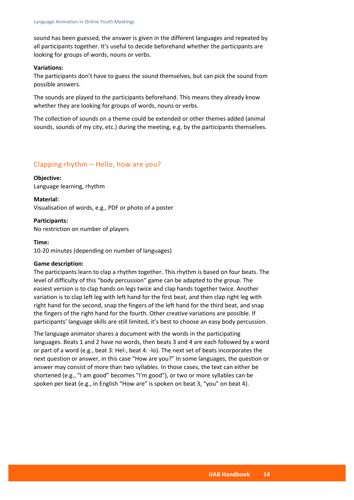sound has been guessed, the answer is given in the different languages and repeated by all participants together. It's useful to decide beforehand whether the participants are looking for groups of words, nouns or verbs.

#### **Variations:**

The participants don't have to guess the sound themselves, but can pick the sound from possible answers.

The sounds are played to the participants beforehand. This means they already know whether they are looking for groups of words, nouns or verbs.

The collection of sounds on a theme could be extended or other themes added (animal sounds, sounds of my city, etc.) during the meeting, e.g. by the participants themselves.

# <span id="page-13-0"></span>Clapping rhythm – Hello, how are you?

#### **Objective:**

Language learning, rhythm

#### **Material:**

Visualisation of words, e.g., PDF or photo of a poster

**Participants:** No restriction on number of players

#### **Time:**

10-20 minutes (depending on number of languages)

#### **Game description:**

The participants learn to clap a rhythm together. This rhythm is based on four beats. The level of difficulty of this "body percussion" game can be adapted to the group. The easiest version is to clap hands on legs twice and clap hands together twice. Another variation is to clap left leg with left hand for the first beat, and then clap right leg with right hand for the second, snap the fingers of the left hand for the third beat, and snap the fingers of the right hand for the fourth. Other creative variations are possible. If participants' language skills are still limited, it's best to choose an easy body percussion.

The language animator shares a document with the words in the participating languages. Beats 1 and 2 have no words, then beats 3 and 4 are each followed by a word or part of a word (e.g., beat 3: Hel-, beat 4: -lo). The next set of beats incorporates the next question or answer, in this case "How are you?" In some languages, the question or answer may consist of more than two syllables. In those cases, the text can either be shortened (e.g., "I am good" becomes "I'm good"), or two or more syllables can be spoken per beat (e.g., in English "How are" is spoken on beat 3, "you" on beat 4).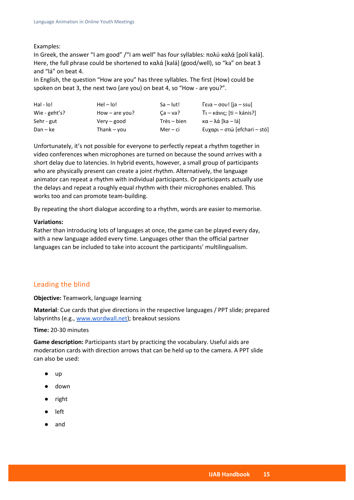#### Examples:

In Greek, the answer "I am good" /"I am well" has four syllables: πολύ καλά [polí kalá]. Here, the full phrase could be shortened to καλά [kalá] (good/well), so "ka" on beat 3 and "lá" on beat 4.

In English, the question "How are you" has three syllables. The first (How) could be spoken on beat 3, the next two (are you) on beat 4, so "How - are you?".

| Hal - lo!     | $HeI - IoI$      | $Sa - lut!$ | $\lceil \epsilon \alpha - \sigma \sigma v \rfloor$ [ja – ssu] |
|---------------|------------------|-------------|---------------------------------------------------------------|
| Wie - geht's? | How $-$ are you? | $Ca - va?$  | Tι – κάνις; [ti – kánis?]                                     |
| Sehr - gut    | $Verv - good$    | Très – bien | $\kappa\alpha - \lambda\alpha$ [ka – lá]                      |
| Dan – ke      | Thank – vou      | Mer – ci    | Eυχαρι – στώ [efchari – stó]                                  |

Unfortunately, it's not possible for everyone to perfectly repeat a rhythm together in video conferences when microphones are turned on because the sound arrives with a short delay due to latencies. In hybrid events, however, a small group of participants who are physically present can create a joint rhythm. Alternatively, the language animator can repeat a rhythm with individual participants. Or participants actually use the delays and repeat a roughly equal rhythm with their microphones enabled. This works too and can promote team-building.

By repeating the short dialogue according to a rhythm, words are easier to memorise.

#### **Variations:**

Rather than introducing lots of languages at once, the game can be played every day, with a new language added every time. Languages other than the official partner languages can be included to take into account the participants' multilingualism.

# <span id="page-14-0"></span>Leading the blind

**Objective:** Teamwork, language learning

**Material**: Cue cards that give directions in the respective languages / PPT slide; prepared labyrinths (e.g., [www.wordwall.net\)](http://www.wordwall.net/); breakout sessions

**Time:** 20-30 minutes

**Game description:** Participants start by practicing the vocabulary. Useful aids are moderation cards with direction arrows that can be held up to the camera. A PPT slide can also be used:

- up
- down
- right
- left
- and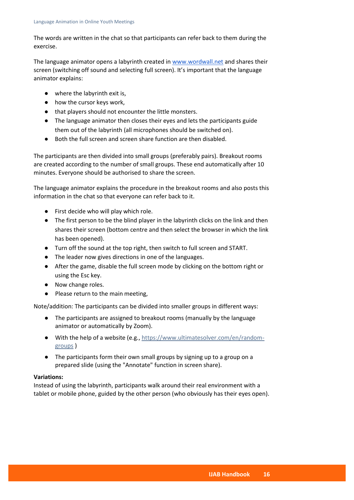The words are written in the chat so that participants can refer back to them during the exercise.

The language animator opens a labyrinth created i[n www.wordwall.net](http://www.wordwall.net/) and shares their screen (switching off sound and selecting full screen). It's important that the language animator explains:

- where the labyrinth exit is,
- how the cursor keys work,
- that players should not encounter the little monsters.
- The language animator then closes their eyes and lets the participants guide them out of the labyrinth (all microphones should be switched on).
- Both the full screen and screen share function are then disabled.

The participants are then divided into small groups (preferably pairs). Breakout rooms are created according to the number of small groups. These end automatically after 10 minutes. Everyone should be authorised to share the screen.

The language animator explains the procedure in the breakout rooms and also posts this information in the chat so that everyone can refer back to it.

- First decide who will play which role.
- The first person to be the blind player in the labyrinth clicks on the link and then shares their screen (bottom centre and then select the browser in which the link has been opened).
- Turn off the sound at the top right, then switch to full screen and START.
- The leader now gives directions in one of the languages.
- After the game, disable the full screen mode by clicking on the bottom right or using the Esc key.
- Now change roles.
- Please return to the main meeting,

Note/addition: The participants can be divided into smaller groups in different ways:

- The participants are assigned to breakout rooms (manually by the language animator or automatically by Zoom).
- With the help of a website (e.g., [https://www.ultimatesolver.com/en/random](https://www.ultimatesolver.com/en/random-groups)[groups](https://www.ultimatesolver.com/en/random-groups) )
- The participants form their own small groups by signing up to a group on a prepared slide (using the "Annotate" function in screen share).

#### **Variations:**

Instead of using the labyrinth, participants walk around their real environment with a tablet or mobile phone, guided by the other person (who obviously has their eyes open).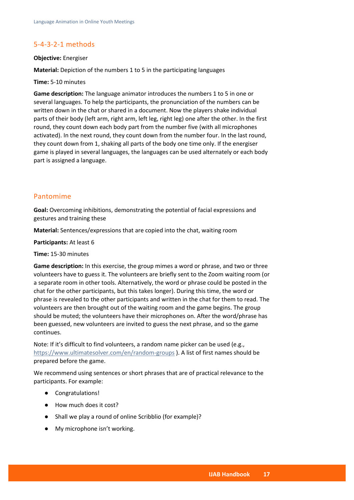# <span id="page-16-0"></span>5-4-3-2-1 methods

#### **Objective:** Energiser

**Material:** Depiction of the numbers 1 to 5 in the participating languages

**Time:** 5-10 minutes

**Game description:** The language animator introduces the numbers 1 to 5 in one or several languages. To help the participants, the pronunciation of the numbers can be written down in the chat or shared in a document. Now the players shake individual parts of their body (left arm, right arm, left leg, right leg) one after the other. In the first round, they count down each body part from the number five (with all microphones activated). In the next round, they count down from the number four. In the last round, they count down from 1, shaking all parts of the body one time only. If the energiser game is played in several languages, the languages can be used alternately or each body part is assigned a language.

#### <span id="page-16-1"></span>Pantomime

**Goal:** Overcoming inhibitions, demonstrating the potential of facial expressions and gestures and training these

**Material:** Sentences/expressions that are copied into the chat, waiting room

**Participants:** At least 6

**Time:** 15-30 minutes

**Game description:** In this exercise, the group mimes a word or phrase, and two or three volunteers have to guess it. The volunteers are briefly sent to the Zoom waiting room (or a separate room in other tools. Alternatively, the word or phrase could be posted in the chat for the other participants, but this takes longer). During this time, the word or phrase is revealed to the other participants and written in the chat for them to read. The volunteers are then brought out of the waiting room and the game begins. The group should be muted; the volunteers have their microphones on. After the word/phrase has been guessed, new volunteers are invited to guess the next phrase, and so the game continues.

Note: If it's difficult to find volunteers, a random name picker can be used (e.g., <https://www.ultimatesolver.com/en/random-groups> ). A list of first names should be prepared before the game.

We recommend using sentences or short phrases that are of practical relevance to the participants. For example:

- Congratulations!
- How much does it cost?
- Shall we play a round of online Scribblio (for example)?
- My microphone isn't working.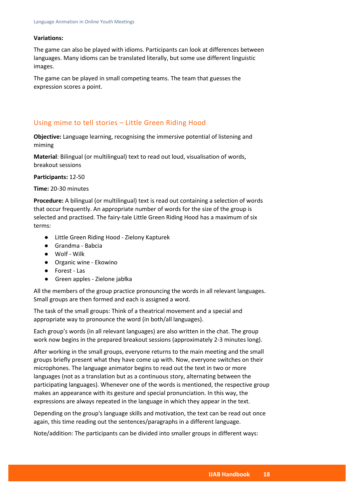#### **Variations:**

The game can also be played with idioms. Participants can look at differences between languages. Many idioms can be translated literally, but some use different linguistic images.

The game can be played in small competing teams. The team that guesses the expression scores a point.

# <span id="page-17-0"></span>Using mime to tell stories – Little Green Riding Hood

**Objective:** Language learning, recognising the immersive potential of listening and miming

**Material**: Bilingual (or multilingual) text to read out loud, visualisation of words, breakout sessions

#### **Participants:** 12-50

#### **Time:** 20-30 minutes

**Procedure:** A bilingual (or multilingual) text is read out containing a selection of words that occur frequently. An appropriate number of words for the size of the group is selected and practised. The fairy-tale Little Green Riding Hood has a maximum of six terms:

- Little Green Riding Hood Zielony Kapturek
- Grandma Babcia
- Wolf Wilk
- Organic wine Ekowino
- Forest Las
- Green apples Zielone jabłka

All the members of the group practice pronouncing the words in all relevant languages. Small groups are then formed and each is assigned a word.

The task of the small groups: Think of a theatrical movement and a special and appropriate way to pronounce the word (in both/all languages).

Each group's words (in all relevant languages) are also written in the chat. The group work now begins in the prepared breakout sessions (approximately 2-3 minutes long).

After working in the small groups, everyone returns to the main meeting and the small groups briefly present what they have come up with. Now, everyone switches on their microphones. The language animator begins to read out the text in two or more languages (not as a translation but as a continuous story, alternating between the participating languages). Whenever one of the words is mentioned, the respective group makes an appearance with its gesture and special pronunciation. In this way, the expressions are always repeated in the language in which they appear in the text.

Depending on the group's language skills and motivation, the text can be read out once again, this time reading out the sentences/paragraphs in a different language.

Note/addition: The participants can be divided into smaller groups in different ways: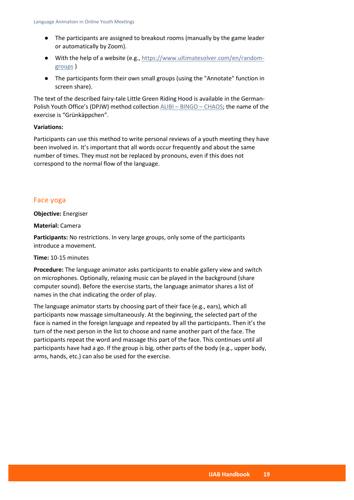- The participants are assigned to breakout rooms (manually by the game leader or automatically by Zoom).
- With the help of a website (e.g., [https://www.ultimatesolver.com/en/random](https://www.ultimatesolver.com/en/random-groups)[groups](https://www.ultimatesolver.com/en/random-groups) )
- The participants form their own small groups (using the "Annotate" function in screen share).

The text of the described fairy-tale Little Green Riding Hood is available in the German-Polish Youth Office's (DPJW) method collection ALIBI – BINGO – [CHAOS;](https://dpjw.org/wp-content/uploads/2019/10/abc_animacje_web.pdf) the name of the exercise is "Grünkäppchen".

#### **Variations:**

Participants can use this method to write personal reviews of a youth meeting they have been involved in. It's important that all words occur frequently and about the same number of times. They must not be replaced by pronouns, even if this does not correspond to the normal flow of the language.

#### <span id="page-18-0"></span>Face yoga

**Objective:** Energiser

**Material:** Camera

**Participants:** No restrictions. In very large groups, only some of the participants introduce a movement.

#### **Time:** 10-15 minutes

**Procedure:** The language animator asks participants to enable gallery view and switch on microphones. Optionally, relaxing music can be played in the background (share computer sound). Before the exercise starts, the language animator shares a list of names in the chat indicating the order of play.

The language animator starts by choosing part of their face (e.g., ears), which all participants now massage simultaneously. At the beginning, the selected part of the face is named in the foreign language and repeated by all the participants. Then it's the turn of the next person in the list to choose and name another part of the face. The participants repeat the word and massage this part of the face. This continues until all participants have had a go. If the group is big, other parts of the body (e.g., upper body, arms, hands, etc.) can also be used for the exercise.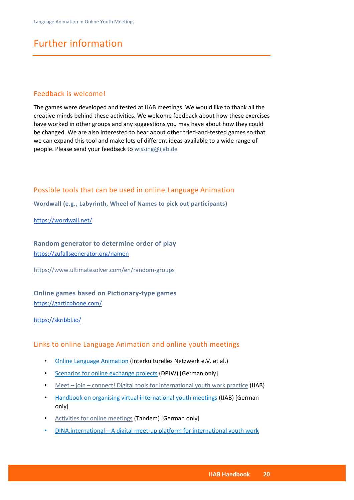# <span id="page-19-0"></span>Further information

# <span id="page-19-1"></span>Feedback is welcome!

The games were developed and tested at IJAB meetings. We would like to thank all the creative minds behind these activities. We welcome feedback about how these exercises have worked in other groups and any suggestions you may have about how they could be changed. We are also interested to hear about other tried-and-tested games so that we can expand this tool and make lots of different ideas available to a wide range of people. Please send your feedback to [wissing@ijab.de](mailto:wissing@ijab.de)

# <span id="page-19-2"></span>Possible tools that can be used in online Language Animation

<span id="page-19-3"></span>**Wordwall (e.g., Labyrinth, Wheel of Names to pick out participants)**

<https://wordwall.net/>

<span id="page-19-4"></span>**Random generator to determine order of play** <https://zufallsgenerator.org/namen>

<https://www.ultimatesolver.com/en/random-groups>

<span id="page-19-5"></span>**Online games based on Pictionary-type games** [https://garticphone.com/](https://garticphone.com/de)

#### <https://skribbl.io/>

# <span id="page-19-6"></span>Links to online Language Animation and online youth meetings

- Online Language Animation [\(Interkulturelles Netzwerk e.V. et al.\)](http://languageanimation.org/en/homepage)
- Scenarios for online [exchange projects](https://dpjw.org/publikationen/szenarien-fur-online-austauschprojekte/) (DPJW) [German only]
- Meet join [connect! Digital tools for international youth work practice](https://ijab.de/bestellservice/meet-join-connect-1) (IJAB)
- [Handbook on organising virtual international youth meetings](https://ijab.de/bestellservice/arbeitshilfe-virtuelle-internationale-jugendbegegnungen-organisieren) (IJAB) [German only]
- [Activities for online meetings](https://www.tandem-org.de/assets/files/Publikationen/2020/2020_06_10_aktivitaeten_online.pdf) (Tandem) [German only]
- DINA.international [A digital meet-up platform for international youth work](https://dina.international/cms/?lang=en)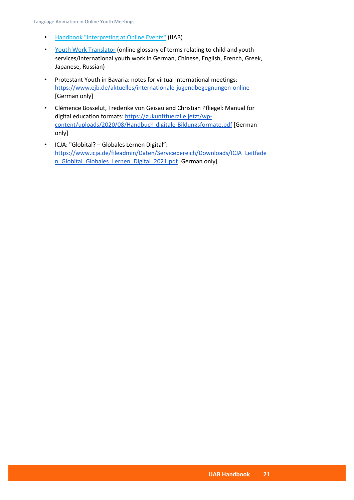- [Handbook "Interpreting at Online Events"](https://ijab.de/bestellservice/interpreting-at-online-events) (IJAB)
- [Youth Work Translator](http://translation.rocks/) (online glossary of terms relating to child and youth services/international youth work in German, Chinese, English, French, Greek, Japanese, Russian)
- Protestant Youth in Bavaria: notes for virtual international meetings: <https://www.ejb.de/aktuelles/internationale-jugendbegegnungen-online> [German only]
- Clémence Bosselut, Frederike von Geisau and Christian Pfliegel: Manual for digital education formats: [https://zukunftfueralle.jetzt/wp](https://zukunftfueralle.jetzt/wp-content/uploads/2020/08/Handbuch-digitale-Bildungsformate.pdf)[content/uploads/2020/08/Handbuch-digitale-Bildungsformate.pdf](https://zukunftfueralle.jetzt/wp-content/uploads/2020/08/Handbuch-digitale-Bildungsformate.pdf) [German only]
- ICJA: "Globital? Globales Lernen Digital": [https://www.icja.de/fileadmin/Daten/Servicebereich/Downloads/ICJA\\_Leitfade](https://www.icja.de/fileadmin/Daten/Servicebereich/Downloads/ICJA_Leitfaden_Globital_Globales_Lernen_Digital_2021.pdf) [n\\_Globital\\_Globales\\_Lernen\\_Digital\\_2021.pdf](https://www.icja.de/fileadmin/Daten/Servicebereich/Downloads/ICJA_Leitfaden_Globital_Globales_Lernen_Digital_2021.pdf) [German only]